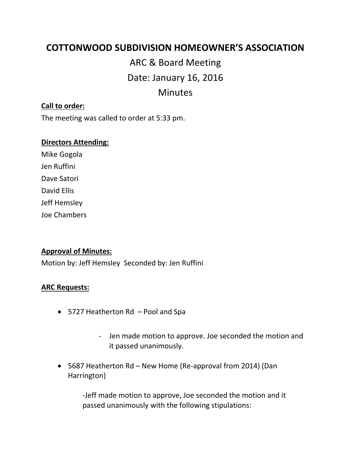# **COTTONWOOD SUBDIVISION HOMEOWNER'S ASSOCIATION**

ARC & Board Meeting Date: January 16, 2016 Minutes

#### **Call to order:**

The meeting was called to order at 5:33 pm.

#### **Directors Attending:**

Mike Gogola Jen Ruffini Dave Satori David Ellis Jeff Hemsley Joe Chambers

## **Approval of Minutes:**

Motion by: Jeff Hemsley Seconded by: Jen Ruffini

#### **ARC Requests:**

- 5727 Heatherton Rd Pool and Spa
	- Jen made motion to approve. Joe seconded the motion and it passed unanimously.
- 5687 Heatherton Rd New Home (Re-approval from 2014) (Dan Harrington)

-Jeff made motion to approve, Joe seconded the motion and it passed unanimously with the following stipulations: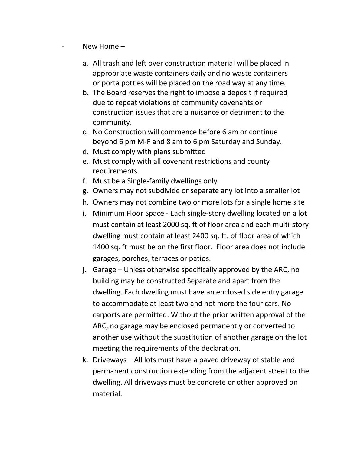- New Home
	- a. All trash and left over construction material will be placed in appropriate waste containers daily and no waste containers or porta potties will be placed on the road way at any time.
	- b. The Board reserves the right to impose a deposit if required due to repeat violations of community covenants or construction issues that are a nuisance or detriment to the community.
	- c. No Construction will commence before 6 am or continue beyond 6 pm M-F and 8 am to 6 pm Saturday and Sunday.
	- d. Must comply with plans submitted
	- e. Must comply with all covenant restrictions and county requirements.
	- f. Must be a Single-family dwellings only
	- g. Owners may not subdivide or separate any lot into a smaller lot
	- h. Owners may not combine two or more lots for a single home site
	- i. Minimum Floor Space Each single-story dwelling located on a lot must contain at least 2000 sq. ft of floor area and each multi-story dwelling must contain at least 2400 sq. ft. of floor area of which 1400 sq. ft must be on the first floor. Floor area does not include garages, porches, terraces or patios.
	- j. Garage Unless otherwise specifically approved by the ARC, no building may be constructed Separate and apart from the dwelling. Each dwelling must have an enclosed side entry garage to accommodate at least two and not more the four cars. No carports are permitted. Without the prior written approval of the ARC, no garage may be enclosed permanently or converted to another use without the substitution of another garage on the lot meeting the requirements of the declaration.
	- k. Driveways All lots must have a paved driveway of stable and permanent construction extending from the adjacent street to the dwelling. All driveways must be concrete or other approved on material.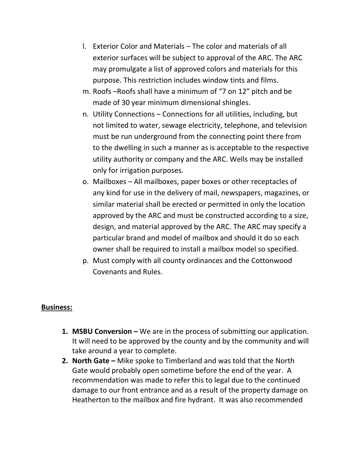- l. Exterior Color and Materials The color and materials of all exterior surfaces will be subject to approval of the ARC. The ARC may promulgate a list of approved colors and materials for this purpose. This restriction includes window tints and films.
- m. Roofs –Roofs shall have a minimum of "7 on 12" pitch and be made of 30 year minimum dimensional shingles.
- n. Utility Connections Connections for all utilities, including, but not limited to water, sewage electricity, telephone, and television must be run underground from the connecting point there from to the dwelling in such a manner as is acceptable to the respective utility authority or company and the ARC. Wells may be installed only for irrigation purposes.
- o. Mailboxes All mailboxes, paper boxes or other receptacles of any kind for use in the delivery of mail, newspapers, magazines, or similar material shall be erected or permitted in only the location approved by the ARC and must be constructed according to a size, design, and material approved by the ARC. The ARC may specify a particular brand and model of mailbox and should it do so each owner shall be required to install a mailbox model so specified.
- p. Must comply with all county ordinances and the Cottonwood Covenants and Rules.

## **Business:**

- **1. MSBU Conversion –** We are in the process of submitting our application. It will need to be approved by the county and by the community and will take around a year to complete.
- **2. North Gate –** Mike spoke to Timberland and was told that the North Gate would probably open sometime before the end of the year. A recommendation was made to refer this to legal due to the continued damage to our front entrance and as a result of the property damage on Heatherton to the mailbox and fire hydrant. It was also recommended